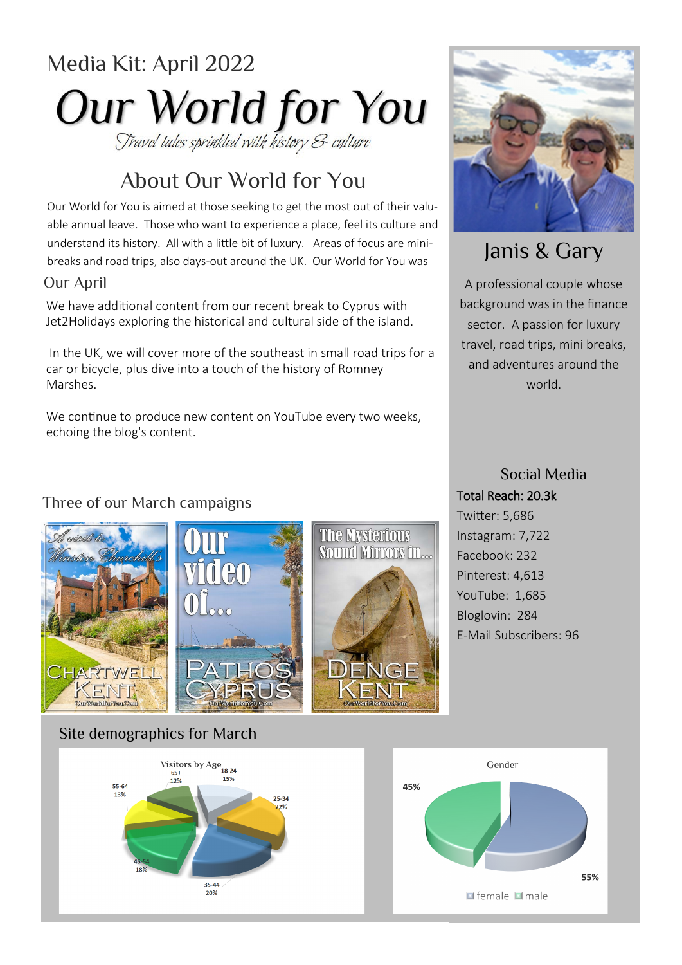# Media Kit: April 2022 **Our World for You**

About Our World for You

Our World for You is aimed at those seeking to get the most out of their valuable annual leave. Those who want to experience a place, feel its culture and understand its history. All with a little bit of luxury. Areas of focus are minibreaks and road trips, also days-out around the UK. Our World for You was

#### Our April

We have additional content from our recent break to Cyprus with Jet2Holidays exploring the historical and cultural side of the island.

In the UK, we will cover more of the southeast in small road trips for a car or bicycle, plus dive into a touch of the history of Romney Marshes.

We continue to produce new content on YouTube every two weeks, echoing the blog's content.

### Three of our March campaigns









# Janis & Gary

A professional couple whose background was in the finance sector. A passion for luxury travel, road trips, mini breaks, and adventures around the world.

## Social Media Total Reach: 20.3k

Twitter: 5,686 Instagram: 7,722 Facebook: 232 Pinterest: 4,613 YouTube: 1,685 Bloglovin: 284 E-Mail Subscribers: 96

### Site demographics for March